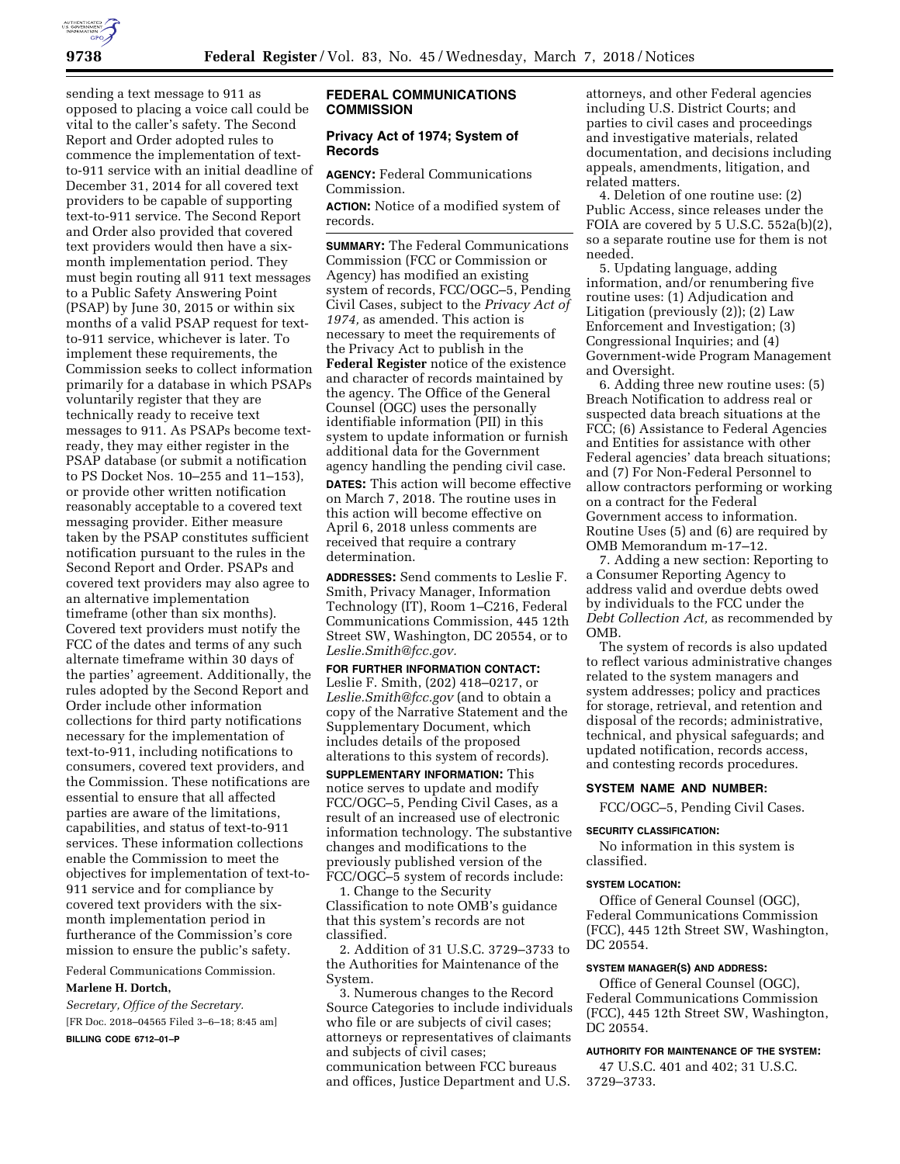

sending a text message to 911 as opposed to placing a voice call could be vital to the caller's safety. The Second Report and Order adopted rules to commence the implementation of textto-911 service with an initial deadline of December 31, 2014 for all covered text providers to be capable of supporting text-to-911 service. The Second Report and Order also provided that covered text providers would then have a sixmonth implementation period. They must begin routing all 911 text messages to a Public Safety Answering Point (PSAP) by June 30, 2015 or within six months of a valid PSAP request for textto-911 service, whichever is later. To implement these requirements, the Commission seeks to collect information primarily for a database in which PSAPs voluntarily register that they are technically ready to receive text messages to 911. As PSAPs become textready, they may either register in the PSAP database (or submit a notification to PS Docket Nos. 10–255 and 11–153), or provide other written notification reasonably acceptable to a covered text messaging provider. Either measure taken by the PSAP constitutes sufficient notification pursuant to the rules in the Second Report and Order. PSAPs and covered text providers may also agree to an alternative implementation timeframe (other than six months). Covered text providers must notify the FCC of the dates and terms of any such alternate timeframe within 30 days of the parties' agreement. Additionally, the rules adopted by the Second Report and Order include other information collections for third party notifications necessary for the implementation of text-to-911, including notifications to consumers, covered text providers, and the Commission. These notifications are essential to ensure that all affected parties are aware of the limitations, capabilities, and status of text-to-911 services. These information collections enable the Commission to meet the objectives for implementation of text-to-911 service and for compliance by covered text providers with the sixmonth implementation period in furtherance of the Commission's core mission to ensure the public's safety.

Federal Communications Commission.

### **Marlene H. Dortch,**

*Secretary, Office of the Secretary.*  [FR Doc. 2018–04565 Filed 3–6–18; 8:45 am]

**BILLING CODE 6712–01–P** 

## **FEDERAL COMMUNICATIONS COMMISSION**

# **Privacy Act of 1974; System of Records**

**AGENCY:** Federal Communications Commission.

**ACTION:** Notice of a modified system of records.

**SUMMARY:** The Federal Communications Commission (FCC or Commission or Agency) has modified an existing system of records, FCC/OGC–5, Pending Civil Cases, subject to the *Privacy Act of 1974,* as amended. This action is necessary to meet the requirements of the Privacy Act to publish in the **Federal Register** notice of the existence and character of records maintained by the agency. The Office of the General Counsel (OGC) uses the personally identifiable information (PII) in this system to update information or furnish additional data for the Government agency handling the pending civil case. **DATES:** This action will become effective on March 7, 2018. The routine uses in this action will become effective on April 6, 2018 unless comments are received that require a contrary determination.

**ADDRESSES:** Send comments to Leslie F. Smith, Privacy Manager, Information Technology (IT), Room 1–C216, Federal Communications Commission, 445 12th Street SW, Washington, DC 20554, or to *[Leslie.Smith@fcc.gov.](mailto:Leslie.Smith@fcc.gov)* 

**FOR FURTHER INFORMATION CONTACT:**  Leslie F. Smith, (202) 418–0217, or *[Leslie.Smith@fcc.gov](mailto:Leslie.Smith@fcc.gov)* (and to obtain a copy of the Narrative Statement and the Supplementary Document, which includes details of the proposed alterations to this system of records).

**SUPPLEMENTARY INFORMATION:** This notice serves to update and modify FCC/OGC–5, Pending Civil Cases, as a result of an increased use of electronic information technology. The substantive changes and modifications to the previously published version of the FCC/OGC–5 system of records include:

1. Change to the Security Classification to note OMB's guidance that this system's records are not classified.

2. Addition of 31 U.S.C. 3729–3733 to the Authorities for Maintenance of the System.

3. Numerous changes to the Record Source Categories to include individuals who file or are subjects of civil cases; attorneys or representatives of claimants and subjects of civil cases; communication between FCC bureaus and offices, Justice Department and U.S.

attorneys, and other Federal agencies including U.S. District Courts; and parties to civil cases and proceedings and investigative materials, related documentation, and decisions including appeals, amendments, litigation, and related matters.

4. Deletion of one routine use: (2) Public Access, since releases under the FOIA are covered by 5 U.S.C. 552a(b)(2), so a separate routine use for them is not needed.

5. Updating language, adding information, and/or renumbering five routine uses: (1) Adjudication and Litigation (previously (2)); (2) Law Enforcement and Investigation; (3) Congressional Inquiries; and (4) Government-wide Program Management and Oversight.

6. Adding three new routine uses: (5) Breach Notification to address real or suspected data breach situations at the FCC; (6) Assistance to Federal Agencies and Entities for assistance with other Federal agencies' data breach situations; and (7) For Non-Federal Personnel to allow contractors performing or working on a contract for the Federal Government access to information. Routine Uses (5) and (6) are required by OMB Memorandum m-17–12.

7. Adding a new section: Reporting to a Consumer Reporting Agency to address valid and overdue debts owed by individuals to the FCC under the *Debt Collection Act,* as recommended by OMB.

The system of records is also updated to reflect various administrative changes related to the system managers and system addresses; policy and practices for storage, retrieval, and retention and disposal of the records; administrative, technical, and physical safeguards; and updated notification, records access, and contesting records procedures.

#### **SYSTEM NAME AND NUMBER:**

FCC/OGC–5, Pending Civil Cases.

### **SECURITY CLASSIFICATION:**

No information in this system is classified.

### **SYSTEM LOCATION:**

Office of General Counsel (OGC), Federal Communications Commission (FCC), 445 12th Street SW, Washington, DC 20554.

### **SYSTEM MANAGER(S) AND ADDRESS:**

Office of General Counsel (OGC), Federal Communications Commission (FCC), 445 12th Street SW, Washington, DC 20554.

### **AUTHORITY FOR MAINTENANCE OF THE SYSTEM:**

47 U.S.C. 401 and 402; 31 U.S.C. 3729–3733.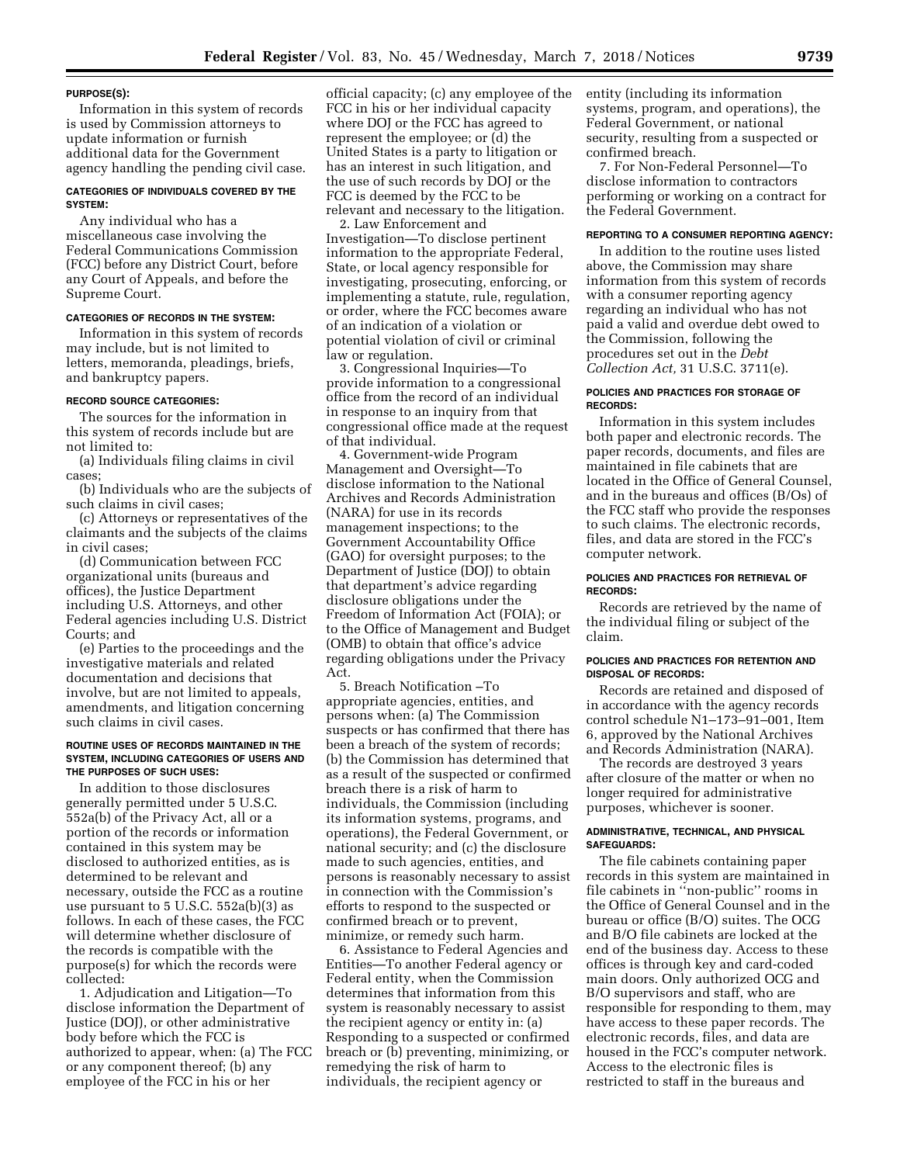#### **PURPOSE(S):**

Information in this system of records is used by Commission attorneys to update information or furnish additional data for the Government agency handling the pending civil case.

## **CATEGORIES OF INDIVIDUALS COVERED BY THE SYSTEM:**

Any individual who has a miscellaneous case involving the Federal Communications Commission (FCC) before any District Court, before any Court of Appeals, and before the Supreme Court.

#### **CATEGORIES OF RECORDS IN THE SYSTEM:**

Information in this system of records may include, but is not limited to letters, memoranda, pleadings, briefs, and bankruptcy papers.

### **RECORD SOURCE CATEGORIES:**

The sources for the information in this system of records include but are not limited to:

(a) Individuals filing claims in civil cases;

(b) Individuals who are the subjects of such claims in civil cases;

(c) Attorneys or representatives of the claimants and the subjects of the claims in civil cases;

(d) Communication between FCC organizational units (bureaus and offices), the Justice Department including U.S. Attorneys, and other Federal agencies including U.S. District Courts; and

(e) Parties to the proceedings and the investigative materials and related documentation and decisions that involve, but are not limited to appeals, amendments, and litigation concerning such claims in civil cases.

#### **ROUTINE USES OF RECORDS MAINTAINED IN THE SYSTEM, INCLUDING CATEGORIES OF USERS AND THE PURPOSES OF SUCH USES:**

In addition to those disclosures generally permitted under 5 U.S.C. 552a(b) of the Privacy Act, all or a portion of the records or information contained in this system may be disclosed to authorized entities, as is determined to be relevant and necessary, outside the FCC as a routine use pursuant to 5 U.S.C. 552a(b)(3) as follows. In each of these cases, the FCC will determine whether disclosure of the records is compatible with the purpose(s) for which the records were collected:

1. Adjudication and Litigation—To disclose information the Department of Justice (DOJ), or other administrative body before which the FCC is authorized to appear, when: (a) The FCC or any component thereof; (b) any employee of the FCC in his or her

official capacity; (c) any employee of the FCC in his or her individual capacity where DOJ or the FCC has agreed to represent the employee; or (d) the United States is a party to litigation or has an interest in such litigation, and the use of such records by DOJ or the FCC is deemed by the FCC to be relevant and necessary to the litigation.

2. Law Enforcement and Investigation—To disclose pertinent information to the appropriate Federal, State, or local agency responsible for investigating, prosecuting, enforcing, or implementing a statute, rule, regulation, or order, where the FCC becomes aware of an indication of a violation or potential violation of civil or criminal law or regulation.

3. Congressional Inquiries—To provide information to a congressional office from the record of an individual in response to an inquiry from that congressional office made at the request of that individual.

4. Government-wide Program Management and Oversight—To disclose information to the National Archives and Records Administration (NARA) for use in its records management inspections; to the Government Accountability Office (GAO) for oversight purposes; to the Department of Justice (DOJ) to obtain that department's advice regarding disclosure obligations under the Freedom of Information Act (FOIA); or to the Office of Management and Budget (OMB) to obtain that office's advice regarding obligations under the Privacy Act.

5. Breach Notification –To appropriate agencies, entities, and persons when: (a) The Commission suspects or has confirmed that there has been a breach of the system of records; (b) the Commission has determined that as a result of the suspected or confirmed breach there is a risk of harm to individuals, the Commission (including its information systems, programs, and operations), the Federal Government, or national security; and (c) the disclosure made to such agencies, entities, and persons is reasonably necessary to assist in connection with the Commission's efforts to respond to the suspected or confirmed breach or to prevent, minimize, or remedy such harm.

6. Assistance to Federal Agencies and Entities—To another Federal agency or Federal entity, when the Commission determines that information from this system is reasonably necessary to assist the recipient agency or entity in: (a) Responding to a suspected or confirmed breach or (b) preventing, minimizing, or remedying the risk of harm to individuals, the recipient agency or

entity (including its information systems, program, and operations), the Federal Government, or national security, resulting from a suspected or confirmed breach.

7. For Non-Federal Personnel—To disclose information to contractors performing or working on a contract for the Federal Government.

### **REPORTING TO A CONSUMER REPORTING AGENCY:**

In addition to the routine uses listed above, the Commission may share information from this system of records with a consumer reporting agency regarding an individual who has not paid a valid and overdue debt owed to the Commission, following the procedures set out in the *Debt Collection Act,* 31 U.S.C. 3711(e).

#### **POLICIES AND PRACTICES FOR STORAGE OF RECORDS:**

Information in this system includes both paper and electronic records. The paper records, documents, and files are maintained in file cabinets that are located in the Office of General Counsel, and in the bureaus and offices (B/Os) of the FCC staff who provide the responses to such claims. The electronic records, files, and data are stored in the FCC's computer network.

### **POLICIES AND PRACTICES FOR RETRIEVAL OF RECORDS:**

Records are retrieved by the name of the individual filing or subject of the claim.

## **POLICIES AND PRACTICES FOR RETENTION AND DISPOSAL OF RECORDS:**

Records are retained and disposed of in accordance with the agency records control schedule N1–173–91–001, Item 6, approved by the National Archives and Records Administration (NARA).

The records are destroyed 3 years after closure of the matter or when no longer required for administrative purposes, whichever is sooner.

### **ADMINISTRATIVE, TECHNICAL, AND PHYSICAL SAFEGUARDS:**

The file cabinets containing paper records in this system are maintained in file cabinets in ''non-public'' rooms in the Office of General Counsel and in the bureau or office (B/O) suites. The OCG and B/O file cabinets are locked at the end of the business day. Access to these offices is through key and card-coded main doors. Only authorized OCG and B/O supervisors and staff, who are responsible for responding to them, may have access to these paper records. The electronic records, files, and data are housed in the FCC's computer network. Access to the electronic files is restricted to staff in the bureaus and